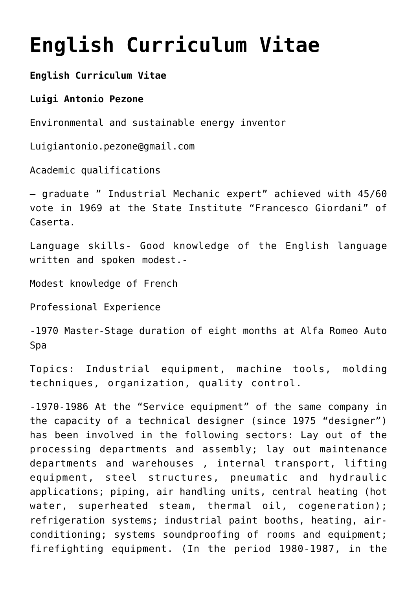## **[English Curriculum Vitae](https://www.spawhe.eu/english-curriculum-vitae/)**

## **English Curriculum Vitae**

## **Luigi Antonio Pezone**

Environmental and sustainable energy inventor

Luigiantonio.pezone@gmail.com

Academic qualifications

– graduate " Industrial Mechanic expert" achieved with 45/60 vote in 1969 at the State Institute "Francesco Giordani" of Caserta.

Language skills- Good knowledge of the English language written and spoken modest.-

Modest knowledge of French

Professional Experience

-1970 Master-Stage duration of eight months at Alfa Romeo Auto Spa

Topics: Industrial equipment, machine tools, molding techniques, organization, quality control.

-1970-1986 At the "Service equipment" of the same company in the capacity of a technical designer (since 1975 "designer") has been involved in the following sectors: Lay out of the processing departments and assembly; lay out maintenance departments and warehouses , internal transport, lifting equipment, steel structures, pneumatic and hydraulic applications; piping, air handling units, central heating (hot water, superheated steam, thermal oil, cogeneration); refrigeration systems; industrial paint booths, heating, airconditioning; systems soundproofing of rooms and equipment; firefighting equipment. (In the period 1980-1987, in the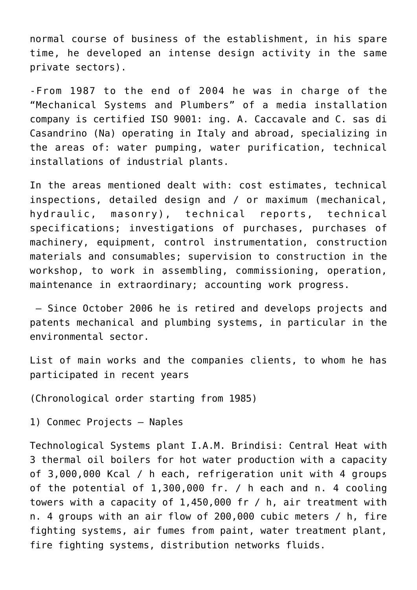normal course of business of the establishment, in his spare time, he developed an intense design activity in the same private sectors).

-From 1987 to the end of 2004 he was in charge of the "Mechanical Systems and Plumbers" of a media installation company is certified ISO 9001: ing. A. Caccavale and C. sas di Casandrino (Na) operating in Italy and abroad, specializing in the areas of: water pumping, water purification, technical installations of industrial plants.

In the areas mentioned dealt with: cost estimates, technical inspections, detailed design and / or maximum (mechanical, hydraulic, masonry), technical reports, technical specifications; investigations of purchases, purchases of machinery, equipment, control instrumentation, construction materials and consumables; supervision to construction in the workshop, to work in assembling, commissioning, operation, maintenance in extraordinary; accounting work progress.

 – Since October 2006 he is retired and develops projects and patents mechanical and plumbing systems, in particular in the environmental sector.

List of main works and the companies clients, to whom he has participated in recent years

(Chronological order starting from 1985)

1) Conmec Projects – Naples

Technological Systems plant I.A.M. Brindisi: Central Heat with 3 thermal oil boilers for hot water production with a capacity of 3,000,000 Kcal / h each, refrigeration unit with 4 groups of the potential of 1,300,000 fr. / h each and n. 4 cooling towers with a capacity of 1,450,000 fr / h, air treatment with n. 4 groups with an air flow of 200,000 cubic meters / h, fire fighting systems, air fumes from paint, water treatment plant, fire fighting systems, distribution networks fluids.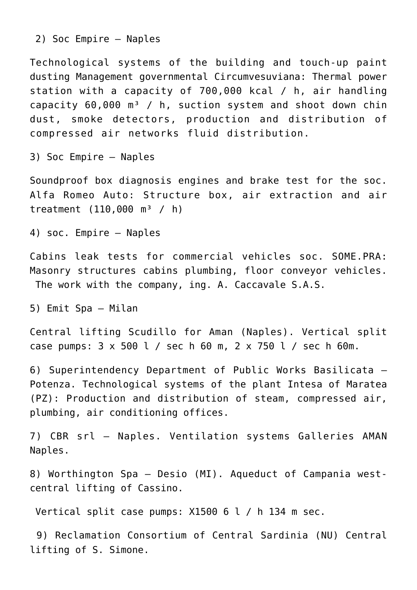2) Soc Empire – Naples

Technological systems of the building and touch-up paint dusting Management governmental Circumvesuviana: Thermal power station with a capacity of 700,000 kcal / h, air handling capacity  $60,000$  m<sup>3</sup> / h, suction system and shoot down chin dust, smoke detectors, production and distribution of compressed air networks fluid distribution.

3) Soc Empire – Naples

Soundproof box diagnosis engines and brake test for the soc. Alfa Romeo Auto: Structure box, air extraction and air treatment  $(110,000 \text{ m}^3 / \text{ h})$ 

4) soc. Empire – Naples

Cabins leak tests for commercial vehicles soc. SOME.PRA: Masonry structures cabins plumbing, floor conveyor vehicles. The work with the company, ing. A. Caccavale S.A.S.

5) Emit Spa – Milan

Central lifting Scudillo for Aman (Naples). Vertical split case pumps: 3 x 500 l / sec h 60 m, 2 x 750 l / sec h 60m.

6) Superintendency Department of Public Works Basilicata – Potenza. Technological systems of the plant Intesa of Maratea (PZ): Production and distribution of steam, compressed air, plumbing, air conditioning offices.

7) CBR srl – Naples. Ventilation systems Galleries AMAN Naples.

8) Worthington Spa – Desio (MI). Aqueduct of Campania westcentral lifting of Cassino.

Vertical split case pumps: X1500 6 l / h 134 m sec.

 9) Reclamation Consortium of Central Sardinia (NU) Central lifting of S. Simone.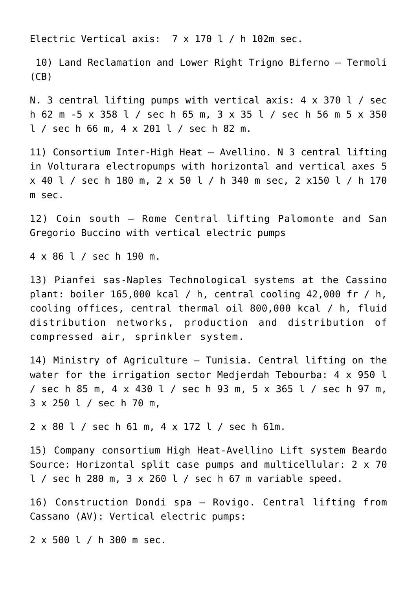Electric Vertical axis: 7 x 170 l / h 102m sec.

 10) Land Reclamation and Lower Right Trigno Biferno – Termoli  $(CB)$ 

N. 3 central lifting pumps with vertical axis: 4 x 370 l / sec h 62 m -5 x 358 l / sec h 65 m, 3 x 35 l / sec h 56 m 5 x 350 l / sec h 66 m, 4 x 201 l / sec h 82 m.

11) Consortium Inter-High Heat – Avellino. N 3 central lifting in Volturara electropumps with horizontal and vertical axes 5 x 40 l / sec h 180 m, 2 x 50 l / h 340 m sec, 2 x150 l / h 170 m sec.

12) Coin south – Rome Central lifting Palomonte and San Gregorio Buccino with vertical electric pumps

4 x 86 l / sec h 190 m.

13) Pianfei sas-Naples Technological systems at the Cassino plant: boiler 165,000 kcal / h, central cooling 42,000 fr / h, cooling offices, central thermal oil 800,000 kcal / h, fluid distribution networks, production and distribution of compressed air, sprinkler system.

14) Ministry of Agriculture – Tunisia. Central lifting on the water for the irrigation sector Medjerdah Tebourba: 4 x 950 l / sec h 85 m, 4 x 430 l / sec h 93 m, 5 x 365 l / sec h 97 m, 3 x 250 l / sec h 70 m,

2 x 80 l / sec h 61 m, 4 x 172 l / sec h 61m.

15) Company consortium High Heat-Avellino Lift system Beardo Source: Horizontal split case pumps and multicellular: 2 x 70 l / sec h 280 m, 3 x 260 l / sec h 67 m variable speed.

16) Construction Dondi spa – Rovigo. Central lifting from Cassano (AV): Vertical electric pumps:

2 x 500 l / h 300 m sec.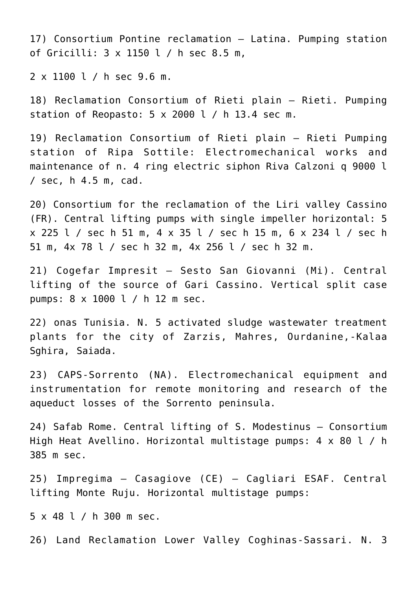17) Consortium Pontine reclamation – Latina. Pumping station of Gricilli: 3 x 1150 l / h sec 8.5 m,

2 x 1100 l / h sec 9.6 m.

18) Reclamation Consortium of Rieti plain – Rieti. Pumping station of Reopasto:  $5 \times 2000$  l / h 13.4 sec m.

19) Reclamation Consortium of Rieti plain – Rieti Pumping station of Ripa Sottile: Electromechanical works and maintenance of n. 4 ring electric siphon Riva Calzoni g 9000 l / sec, h 4.5 m, cad.

20) Consortium for the reclamation of the Liri valley Cassino (FR). Central lifting pumps with single impeller horizontal: 5 x 225 l / sec h 51 m, 4 x 35 l / sec h 15 m, 6 x 234 l / sec h 51 m, 4x 78 l / sec h 32 m, 4x 256 l / sec h 32 m.

21) Cogefar Impresit – Sesto San Giovanni (Mi). Central lifting of the source of Gari Cassino. Vertical split case pumps: 8 x 1000 l / h 12 m sec.

22) onas Tunisia. N. 5 activated sludge wastewater treatment plants for the city of Zarzis, Mahres, Ourdanine,-Kalaa Sghira, Saiada.

23) CAPS-Sorrento (NA). Electromechanical equipment and instrumentation for remote monitoring and research of the aqueduct losses of the Sorrento peninsula.

24) Safab Rome. Central lifting of S. Modestinus – Consortium High Heat Avellino. Horizontal multistage pumps: 4 x 80 l / h 385 m sec.

25) Impregima – Casagiove (CE) – Cagliari ESAF. Central lifting Monte Ruju. Horizontal multistage pumps:

5 x 48 l / h 300 m sec.

26) Land Reclamation Lower Valley Coghinas-Sassari. N. 3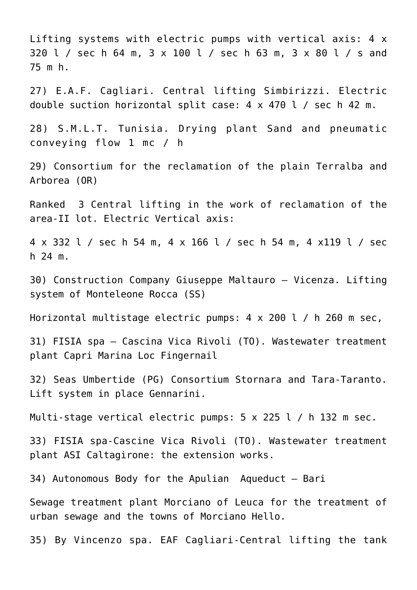Lifting systems with electric pumps with vertical axis: 4 x 320 l / sec h 64 m, 3 x 100 l / sec h 63 m, 3 x 80 l / s and 75 m h. 27) E.A.F. Cagliari. Central lifting Simbirizzi. Electric double suction horizontal split case: 4 x 470 l / sec h 42 m. 28) S.M.L.T. Tunisia. Drying plant Sand and pneumatic conveying flow 1 mc / h

29) Consortium for the reclamation of the plain Terralba and Arborea (OR)

Ranked 3 Central lifting in the work of reclamation of the area-II lot. Electric Vertical axis:

4 x 332 l / sec h 54 m, 4 x 166 l / sec h 54 m, 4 x119 l / sec h 24 m.

30) Construction Company Giuseppe Maltauro – Vicenza. Lifting system of Monteleone Rocca (SS)

Horizontal multistage electric pumps: 4 x 200 l / h 260 m sec,

31) FISIA spa – Cascina Vica Rivoli (TO). Wastewater treatment plant Capri Marina Loc Fingernail

32) Seas Umbertide (PG) Consortium Stornara and Tara-Taranto. Lift system in place Gennarini.

Multi-stage vertical electric pumps: 5 x 225 l / h 132 m sec.

33) FISIA spa-Cascine Vica Rivoli (TO). Wastewater treatment plant ASI Caltagirone: the extension works.

34) Autonomous Body for the Apulian Aqueduct – Bari

Sewage treatment plant Morciano of Leuca for the treatment of urban sewage and the towns of Morciano Hello.

35) By Vincenzo spa. EAF Cagliari-Central lifting the tank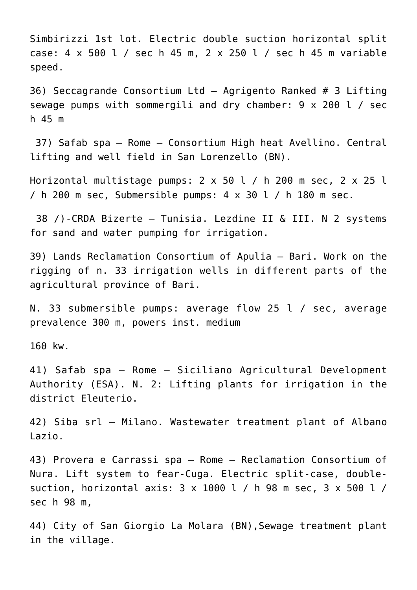Simbirizzi 1st lot. Electric double suction horizontal split case: 4 x 500 l / sec h 45 m, 2 x 250 l / sec h 45 m variable speed.

36) Seccagrande Consortium Ltd – Agrigento Ranked # 3 Lifting sewage pumps with sommergili and dry chamber: 9 x 200 l / sec h 45 m

 37) Safab spa – Rome – Consortium High heat Avellino. Central lifting and well field in San Lorenzello (BN).

Horizontal multistage pumps: 2 x 50 l / h 200 m sec, 2 x 25 l / h 200 m sec, Submersible pumps:  $4 \times 30$  l / h 180 m sec.

 38 /)-CRDA Bizerte – Tunisia. Lezdine II & III. N 2 systems for sand and water pumping for irrigation.

39) Lands Reclamation Consortium of Apulia – Bari. Work on the rigging of n. 33 irrigation wells in different parts of the agricultural province of Bari.

N. 33 submersible pumps: average flow 25 l / sec, average prevalence 300 m, powers inst. medium

160 kw.

41) Safab spa – Rome – Siciliano Agricultural Development Authority (ESA). N. 2: Lifting plants for irrigation in the district Eleuterio.

42) Siba srl – Milano. Wastewater treatment plant of Albano Lazio.

43) Provera e Carrassi spa – Rome – Reclamation Consortium of Nura. Lift system to fear-Cuga. Electric split-case, doublesuction, horizontal axis: 3 x 1000 l / h 98 m sec, 3 x 500 l / sec h 98 m,

44) City of San Giorgio La Molara (BN),Sewage treatment plant in the village.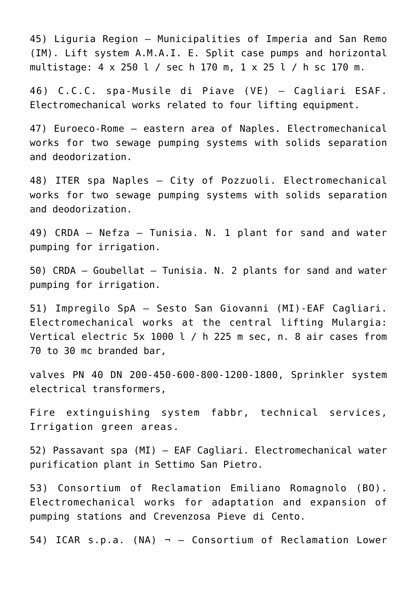45) Liguria Region – Municipalities of Imperia and San Remo (IM). Lift system A.M.A.I. E. Split case pumps and horizontal multistage: 4 x 250 l / sec h 170 m, 1 x 25 l / h sc 170 m.

46) C.C.C. spa-Musile di Piave (VE) – Cagliari ESAF. Electromechanical works related to four lifting equipment.

47) Euroeco-Rome – eastern area of Naples. Electromechanical works for two sewage pumping systems with solids separation and deodorization.

48) ITER spa Naples – City of Pozzuoli. Electromechanical works for two sewage pumping systems with solids separation and deodorization.

49) CRDA – Nefza – Tunisia. N. 1 plant for sand and water pumping for irrigation.

50) CRDA – Goubellat – Tunisia. N. 2 plants for sand and water pumping for irrigation.

51) Impregilo SpA – Sesto San Giovanni (MI)-EAF Cagliari. Electromechanical works at the central lifting Mulargia: Vertical electric 5x 1000 l / h 225 m sec, n. 8 air cases from 70 to 30 mc branded bar,

valves PN 40 DN 200-450-600-800-1200-1800, Sprinkler system electrical transformers,

Fire extinguishing system fabbr, technical services, Irrigation green areas.

52) Passavant spa (MI) – EAF Cagliari. Electromechanical water purification plant in Settimo San Pietro.

53) Consortium of Reclamation Emiliano Romagnolo (BO). Electromechanical works for adaptation and expansion of pumping stations and Crevenzosa Pieve di Cento.

54) ICAR s.p.a. (NA)  $\neg$  - Consortium of Reclamation Lower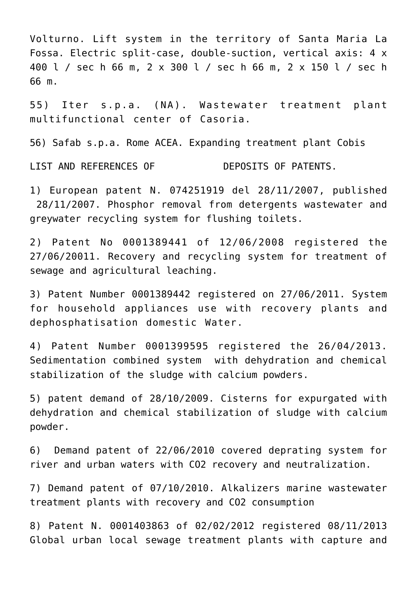Volturno. Lift system in the territory of Santa Maria La Fossa. Electric split-case, double-suction, vertical axis: 4 x 400 l / sec h 66 m, 2 x 300 l / sec h 66 m, 2 x 150 l / sec h 66 m.

55) Iter s.p.a. (NA). Wastewater treatment plant multifunctional center of Casoria.

56) Safab s.p.a. Rome ACEA. Expanding treatment plant Cobis

LIST AND REFERENCES OF **DEPOSITS OF PATENTS.** 

1) European patent N. 074251919 del 28/11/2007, published 28/11/2007. Phosphor removal from detergents wastewater and greywater recycling system for flushing toilets.

2) Patent No 0001389441 of 12/06/2008 registered the 27/06/20011. Recovery and recycling system for treatment of sewage and agricultural leaching.

3) Patent Number 0001389442 registered on 27/06/2011. System for household appliances use with recovery plants and dephosphatisation domestic Water.

4) Patent Number 0001399595 registered the 26/04/2013. Sedimentation combined system with dehydration and chemical stabilization of the sludge with calcium powders.

5) patent demand of 28/10/2009. Cisterns for expurgated with dehydration and chemical stabilization of sludge with calcium powder.

6) Demand patent of 22/06/2010 covered deprating system for river and urban waters with CO2 recovery and neutralization.

7) Demand patent of 07/10/2010. Alkalizers marine wastewater treatment plants with recovery and CO2 consumption

8) Patent N. 0001403863 of 02/02/2012 registered 08/11/2013 Global urban local sewage treatment plants with capture and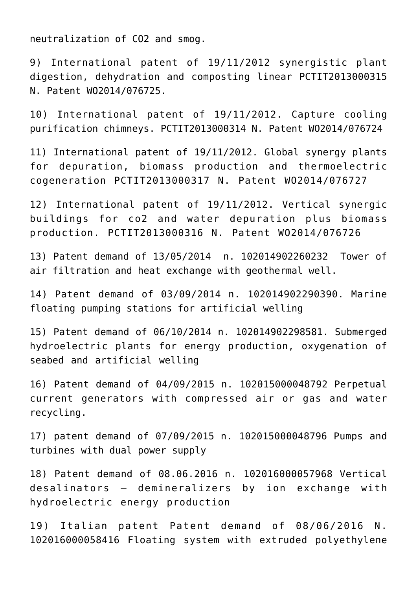neutralization of CO2 and smog.

9) International patent of 19/11/2012 synergistic plant digestion, dehydration and composting linear PCTIT2013000315 N. Patent WO2014/076725.

10) International patent of 19/11/2012. Capture cooling purification chimneys. PCTIT2013000314 N. Patent WO2014/076724

11) International patent of 19/11/2012. Global synergy plants for depuration, biomass production and thermoelectric cogeneration PCTIT2013000317 N. Patent WO2014/076727

12) International patent of 19/11/2012. Vertical synergic buildings for co2 and water depuration plus biomass production. PCTIT2013000316 N. Patent WO2014/076726

13) Patent demand of 13/05/2014 n. 102014902260232 Tower of air filtration and heat exchange with geothermal well.

14) Patent demand of 03/09/2014 n. 102014902290390. Marine floating pumping stations for artificial welling

15) Patent demand of 06/10/2014 n. 102014902298581. Submerged hydroelectric plants for energy production, oxygenation of seabed and artificial welling

16) Patent demand of 04/09/2015 n. 102015000048792 Perpetual current generators with compressed air or gas and water recycling.

17) patent demand of 07/09/2015 n. 102015000048796 Pumps and turbines with dual power supply

18) Patent demand of 08.06.2016 n. 102016000057968 Vertical desalinators – demineralizers by ion exchange with hydroelectric energy production

19) Italian patent Patent demand of 08/06/2016 N. 102016000058416 Floating system with extruded polyethylene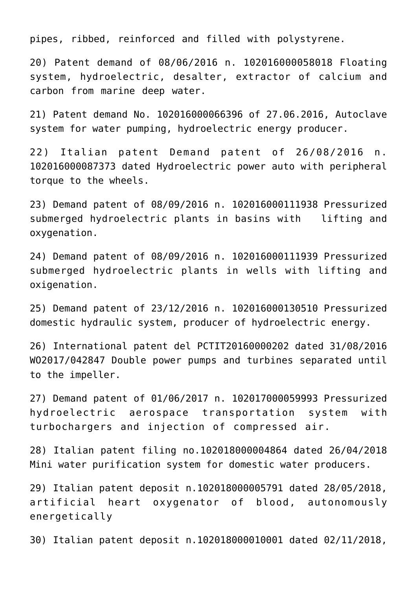pipes, ribbed, reinforced and filled with polystyrene.

20) Patent demand of 08/06/2016 n. 102016000058018 Floating system, hydroelectric, desalter, extractor of calcium and carbon from marine deep water.

21) Patent demand No. 102016000066396 of 27.06.2016, Autoclave system for water pumping, hydroelectric energy producer.

22) Italian patent Demand patent of 26/08/2016 n. 102016000087373 dated Hydroelectric power auto with peripheral torque to the wheels.

23) Demand patent of 08/09/2016 n. 102016000111938 Pressurized submerged hydroelectric plants in basins with lifting and oxygenation.

24) Demand patent of 08/09/2016 n. 102016000111939 Pressurized submerged hydroelectric plants in wells with lifting and oxigenation.

25) Demand patent of 23/12/2016 n. 102016000130510 Pressurized domestic hydraulic system, producer of hydroelectric energy.

26) International patent del PCTIT20160000202 dated 31/08/2016 WO2017/042847 Double power pumps and turbines separated until to the impeller.

27) Demand patent of 01/06/2017 n. 102017000059993 Pressurized hydroelectric aerospace transportation system with turbochargers and injection of compressed air.

28) Italian patent filing no.102018000004864 dated 26/04/2018 Mini water purification system for domestic water producers.

29) Italian patent deposit n.102018000005791 dated 28/05/2018, artificial heart oxygenator of blood, autonomously energetically

30) Italian patent deposit n.102018000010001 dated 02/11/2018,